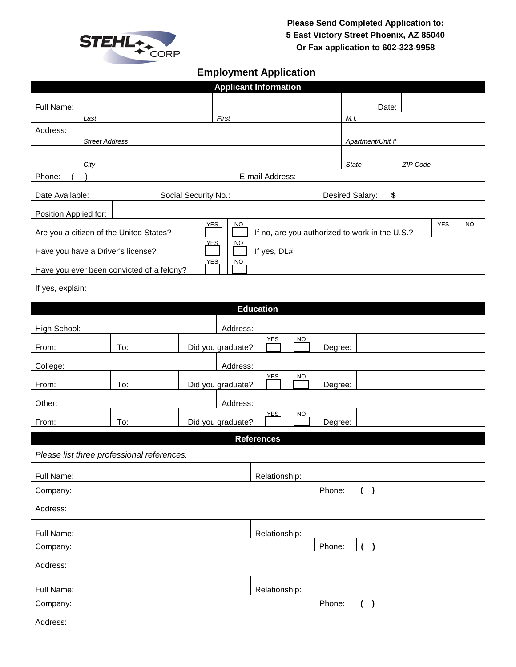

## **Employment Application**

| <b>Applicant Information</b>                                                                                                             |                       |                                            |  |  |                   |               |                 |                  |           |                       |  |          |  |  |  |  |
|------------------------------------------------------------------------------------------------------------------------------------------|-----------------------|--------------------------------------------|--|--|-------------------|---------------|-----------------|------------------|-----------|-----------------------|--|----------|--|--|--|--|
| Full Name:                                                                                                                               |                       |                                            |  |  |                   |               |                 |                  | Date:     |                       |  |          |  |  |  |  |
|                                                                                                                                          | Last                  |                                            |  |  |                   | First         |                 |                  | M.I.      |                       |  |          |  |  |  |  |
| Address:                                                                                                                                 |                       |                                            |  |  |                   |               |                 |                  |           |                       |  |          |  |  |  |  |
|                                                                                                                                          | <b>Street Address</b> |                                            |  |  |                   |               |                 |                  |           | Apartment/Unit #      |  |          |  |  |  |  |
|                                                                                                                                          |                       |                                            |  |  |                   |               |                 |                  |           |                       |  |          |  |  |  |  |
| City                                                                                                                                     |                       |                                            |  |  |                   |               |                 |                  | State     |                       |  | ZIP Code |  |  |  |  |
| Phone:                                                                                                                                   |                       |                                            |  |  |                   |               | E-mail Address: |                  |           |                       |  |          |  |  |  |  |
| Social Security No.:<br>Date Available:                                                                                                  |                       |                                            |  |  |                   |               |                 |                  |           | Desired Salary:<br>\$ |  |          |  |  |  |  |
| Position Applied for:                                                                                                                    |                       |                                            |  |  |                   |               |                 |                  |           |                       |  |          |  |  |  |  |
| <b>YES</b><br><b>NO</b><br><b>YES</b><br>NO<br>Are you a citizen of the United States?<br>If no, are you authorized to work in the U.S.? |                       |                                            |  |  |                   |               |                 |                  |           |                       |  |          |  |  |  |  |
| <b>YES</b><br>NQ                                                                                                                         |                       |                                            |  |  |                   |               |                 |                  |           |                       |  |          |  |  |  |  |
| If yes, DL#<br>Have you have a Driver's license?<br><b>YES</b><br>NO<br>Have you ever been convicted of a felony?                        |                       |                                            |  |  |                   |               |                 |                  |           |                       |  |          |  |  |  |  |
|                                                                                                                                          |                       |                                            |  |  |                   |               |                 |                  |           |                       |  |          |  |  |  |  |
| If yes, explain:                                                                                                                         |                       |                                            |  |  |                   |               |                 |                  |           |                       |  |          |  |  |  |  |
|                                                                                                                                          |                       |                                            |  |  |                   |               |                 | <b>Education</b> |           |                       |  |          |  |  |  |  |
| High School:                                                                                                                             |                       |                                            |  |  |                   |               | Address:        |                  |           |                       |  |          |  |  |  |  |
| From:                                                                                                                                    |                       | To:                                        |  |  | Did you graduate? |               |                 | <b>YES</b>       | <b>NO</b> | Degree:               |  |          |  |  |  |  |
|                                                                                                                                          |                       |                                            |  |  |                   |               | Address:        |                  |           |                       |  |          |  |  |  |  |
| College:                                                                                                                                 |                       |                                            |  |  |                   |               |                 | YES              | NO        |                       |  |          |  |  |  |  |
| From:                                                                                                                                    |                       | To:                                        |  |  | Did you graduate? |               |                 |                  |           | Degree:               |  |          |  |  |  |  |
| Other:                                                                                                                                   |                       |                                            |  |  |                   |               | Address:        | YES              | <u>NO</u> |                       |  |          |  |  |  |  |
| Did you graduate?<br>To:<br>Degree:<br>From:                                                                                             |                       |                                            |  |  |                   |               |                 |                  |           |                       |  |          |  |  |  |  |
| <b>References</b>                                                                                                                        |                       |                                            |  |  |                   |               |                 |                  |           |                       |  |          |  |  |  |  |
|                                                                                                                                          |                       | Please list three professional references. |  |  |                   |               |                 |                  |           |                       |  |          |  |  |  |  |
| Full Name:                                                                                                                               |                       |                                            |  |  |                   | Relationship: |                 |                  |           |                       |  |          |  |  |  |  |
|                                                                                                                                          | Phone:<br>Company:    |                                            |  |  |                   |               |                 |                  |           |                       |  |          |  |  |  |  |
| Address:                                                                                                                                 |                       |                                            |  |  |                   |               |                 |                  |           |                       |  |          |  |  |  |  |
|                                                                                                                                          |                       |                                            |  |  |                   |               |                 | Relationship:    |           |                       |  |          |  |  |  |  |
| Full Name:<br>Company:                                                                                                                   |                       |                                            |  |  |                   |               |                 |                  |           | Phone:                |  |          |  |  |  |  |
| Address:                                                                                                                                 |                       |                                            |  |  |                   |               |                 |                  |           |                       |  |          |  |  |  |  |
|                                                                                                                                          |                       |                                            |  |  |                   |               |                 |                  |           |                       |  |          |  |  |  |  |
| Full Name:                                                                                                                               |                       |                                            |  |  |                   |               |                 | Relationship:    |           | Phone:                |  |          |  |  |  |  |
| Company:                                                                                                                                 |                       |                                            |  |  |                   |               |                 |                  |           |                       |  |          |  |  |  |  |
| Address:                                                                                                                                 |                       |                                            |  |  |                   |               |                 |                  |           |                       |  |          |  |  |  |  |